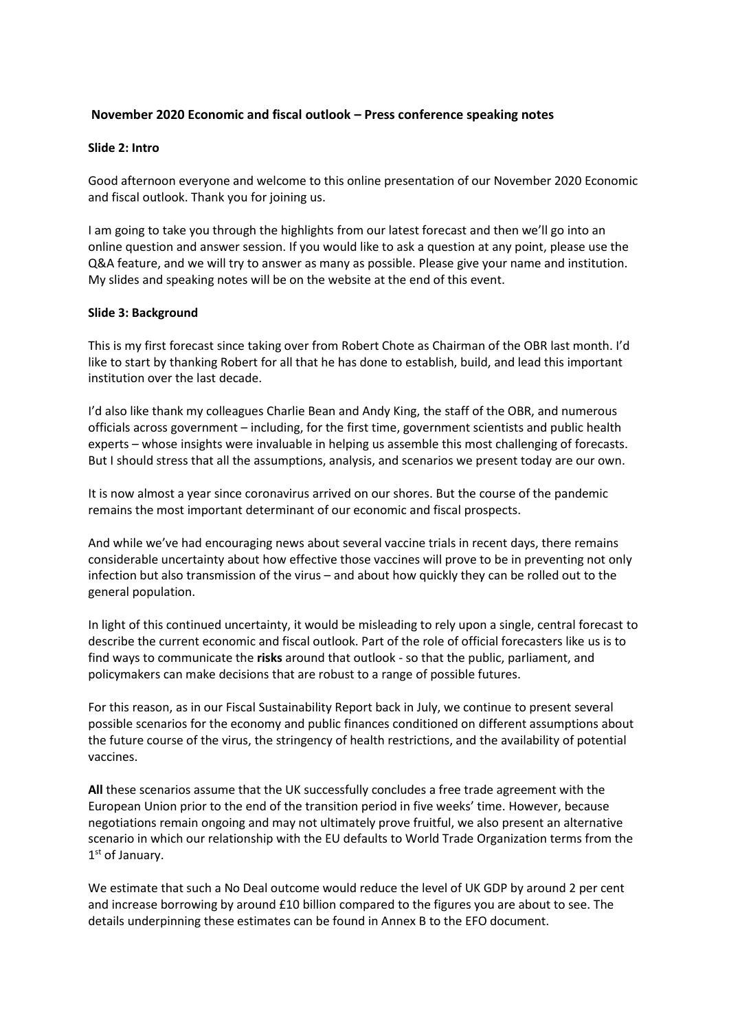# **November 2020 Economic and fiscal outlook – Press conference speaking notes**

#### **Slide 2: Intro**

Good afternoon everyone and welcome to this online presentation of our November 2020 Economic and fiscal outlook. Thank you for joining us.

I am going to take you through the highlights from our latest forecast and then we'll go into an online question and answer session. If you would like to ask a question at any point, please use the Q&A feature, and we will try to answer as many as possible. Please give your name and institution. My slides and speaking notes will be on the website at the end of this event.

#### **Slide 3: Background**

This is my first forecast since taking over from Robert Chote as Chairman of the OBR last month. I'd like to start by thanking Robert for all that he has done to establish, build, and lead this important institution over the last decade.

I'd also like thank my colleagues Charlie Bean and Andy King, the staff of the OBR, and numerous officials across government – including, for the first time, government scientists and public health experts – whose insights were invaluable in helping us assemble this most challenging of forecasts. But I should stress that all the assumptions, analysis, and scenarios we present today are our own.

It is now almost a year since coronavirus arrived on our shores. But the course of the pandemic remains the most important determinant of our economic and fiscal prospects.

And while we've had encouraging news about several vaccine trials in recent days, there remains considerable uncertainty about how effective those vaccines will prove to be in preventing not only infection but also transmission of the virus – and about how quickly they can be rolled out to the general population.

In light of this continued uncertainty, it would be misleading to rely upon a single, central forecast to describe the current economic and fiscal outlook. Part of the role of official forecasters like us is to find ways to communicate the **risks** around that outlook - so that the public, parliament, and policymakers can make decisions that are robust to a range of possible futures.

 vaccines. For this reason, as in our Fiscal Sustainability Report back in July, we continue to present several possible scenarios for the economy and public finances conditioned on different assumptions about the future course of the virus, the stringency of health restrictions, and the availability of potential

**All** these scenarios assume that the UK successfully concludes a free trade agreement with the European Union prior to the end of the transition period in five weeks' time. However, because negotiations remain ongoing and may not ultimately prove fruitful, we also present an alternative scenario in which our relationship with the EU defaults to World Trade Organization terms from the  $1<sup>st</sup>$  of January.

 details underpinning these estimates can be found in Annex B to the EFO document. We estimate that such a No Deal outcome would reduce the level of UK GDP by around 2 per cent and increase borrowing by around £10 billion compared to the figures you are about to see. The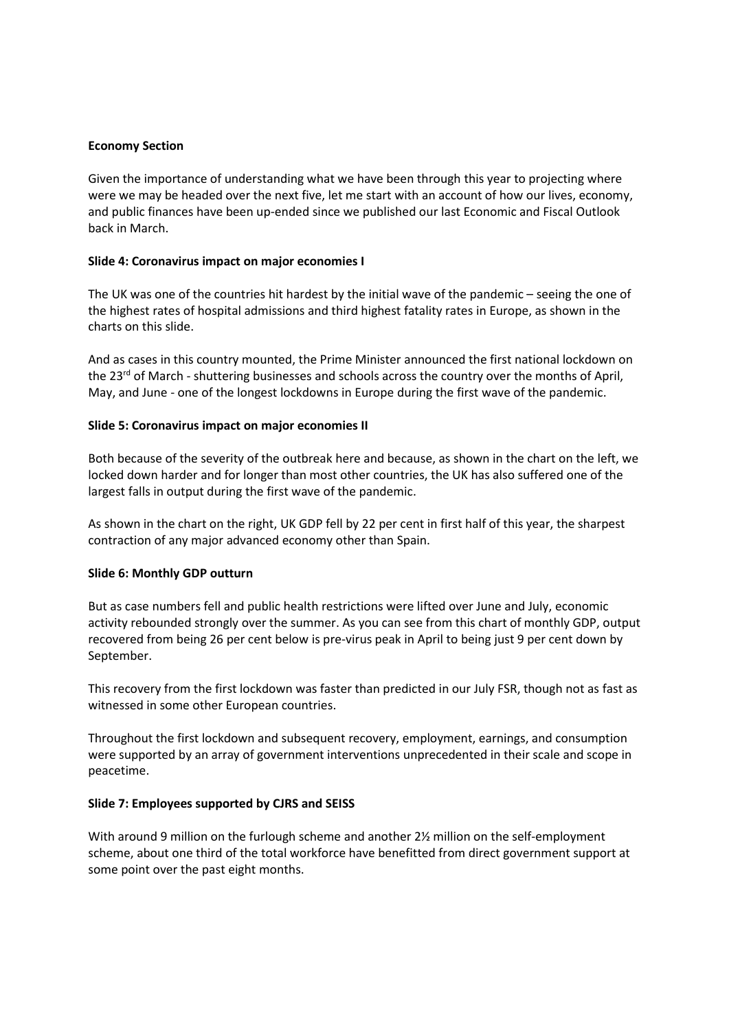#### **Economy Section**

 Given the importance of understanding what we have been through this year to projecting where were we may be headed over the next five, let me start with an account of how our lives, economy, and public finances have been up-ended since we published our last Economic and Fiscal Outlook back in March.

#### **Slide 4: Coronavirus impact on major economies I**

The UK was one of the countries hit hardest by the initial wave of the pandemic – seeing the one of the highest rates of hospital admissions and third highest fatality rates in Europe, as shown in the charts on this slide.

And as cases in this country mounted, the Prime Minister announced the first national lockdown on the 23<sup>rd</sup> of March - shuttering businesses and schools across the country over the months of April, May, and June - one of the longest lockdowns in Europe during the first wave of the pandemic.

### **Slide 5: Coronavirus impact on major economies II**

Both because of the severity of the outbreak here and because, as shown in the chart on the left, we locked down harder and for longer than most other countries, the UK has also suffered one of the largest falls in output during the first wave of the pandemic.

 contraction of any major advanced economy other than Spain. As shown in the chart on the right, UK GDP fell by 22 per cent in first half of this year, the sharpest

#### **Slide 6: Monthly GDP outturn**

 activity rebounded strongly over the summer. As you can see from this chart of monthly GDP, output recovered from being 26 per cent below is pre-virus peak in April to being just 9 per cent down by But as case numbers fell and public health restrictions were lifted over June and July, economic September.

This recovery from the first lockdown was faster than predicted in our July FSR, though not as fast as witnessed in some other European countries.

 were supported by an array of government interventions unprecedented in their scale and scope in Throughout the first lockdown and subsequent recovery, employment, earnings, and consumption peacetime.

### **Slide 7: Employees supported by CJRS and SEISS**

 With around 9 million on the furlough scheme and another 2½ million on the self-employment scheme, about one third of the total workforce have benefitted from direct government support at some point over the past eight months.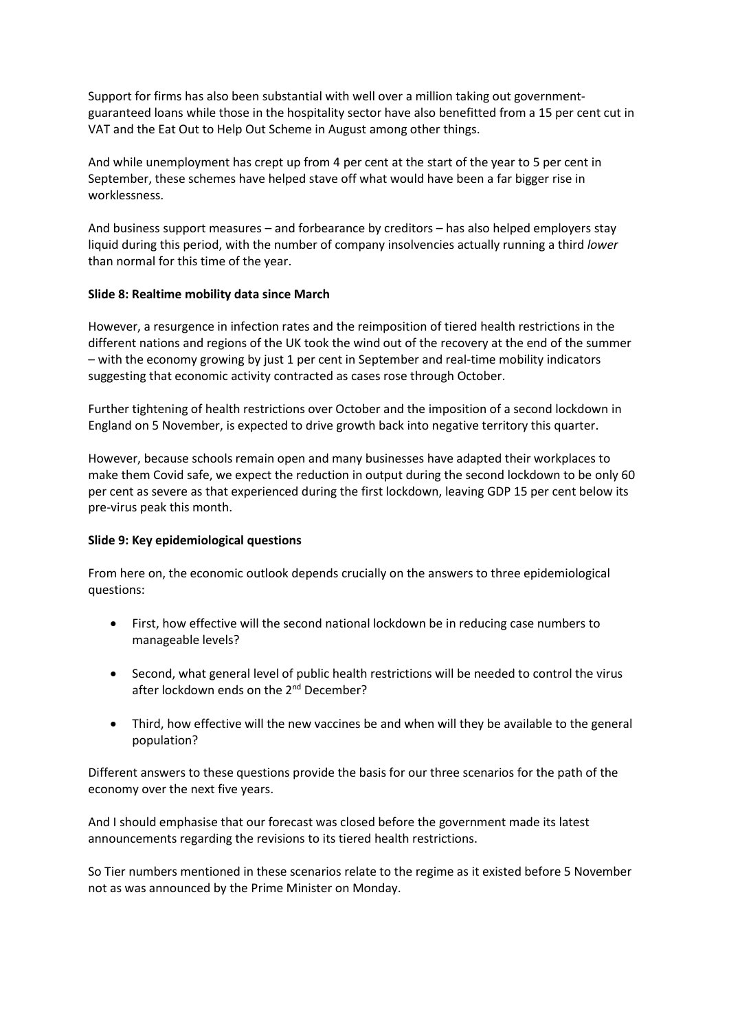Support for firms has also been substantial with well over a million taking out governmentguaranteed loans while those in the hospitality sector have also benefitted from a 15 per cent cut in VAT and the Eat Out to Help Out Scheme in August among other things.

And while unemployment has crept up from 4 per cent at the start of the year to 5 per cent in September, these schemes have helped stave off what would have been a far bigger rise in worklessness.

And business support measures – and forbearance by creditors – has also helped employers stay liquid during this period, with the number of company insolvencies actually running a third *lower*  than normal for this time of the year.

### **Slide 8: Realtime mobility data since March**

However, a resurgence in infection rates and the reimposition of tiered health restrictions in the different nations and regions of the UK took the wind out of the recovery at the end of the summer – with the economy growing by just 1 per cent in September and real-time mobility indicators suggesting that economic activity contracted as cases rose through October.

Further tightening of health restrictions over October and the imposition of a second lockdown in England on 5 November, is expected to drive growth back into negative territory this quarter.

 However, because schools remain open and many businesses have adapted their workplaces to make them Covid safe, we expect the reduction in output during the second lockdown to be only 60 per cent as severe as that experienced during the first lockdown, leaving GDP 15 per cent below its pre-virus peak this month.

### **Slide 9: Key epidemiological questions**

From here on, the economic outlook depends crucially on the answers to three epidemiological questions:

- • First, how effective will the second national lockdown be in reducing case numbers to manageable levels?
- Second, what general level of public health restrictions will be needed to control the virus after lockdown ends on the 2<sup>nd</sup> December?
- Third, how effective will the new vaccines be and when will they be available to the general population?

 Different answers to these questions provide the basis for our three scenarios for the path of the economy over the next five years.

And I should emphasise that our forecast was closed before the government made its latest announcements regarding the revisions to its tiered health restrictions.

 So Tier numbers mentioned in these scenarios relate to the regime as it existed before 5 November not as was announced by the Prime Minister on Monday.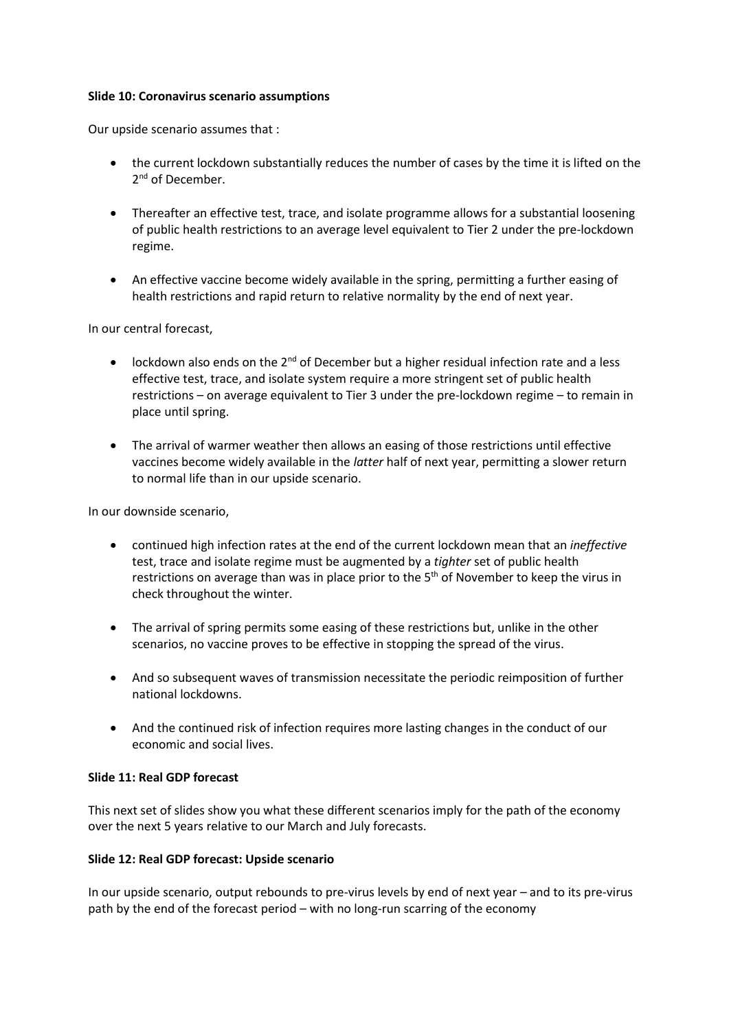#### **Slide 10: Coronavirus scenario assumptions**

Our upside scenario assumes that :

- the current lockdown substantially reduces the number of cases by the time it is lifted on the 2<sup>nd</sup> of December.
- Thereafter an effective test, trace, and isolate programme allows for a substantial loosening of public health restrictions to an average level equivalent to Tier 2 under the pre-lockdown regime.
- An effective vaccine become widely available in the spring, permitting a further easing of health restrictions and rapid return to relative normality by the end of next year.

In our central forecast,

- lockdown also ends on the  $2^{nd}$  of December but a higher residual infection rate and a less effective test, trace, and isolate system require a more stringent set of public health restrictions – on average equivalent to Tier 3 under the pre-lockdown regime – to remain in place until spring.
- The arrival of warmer weather then allows an easing of those restrictions until effective vaccines become widely available in the *latter* half of next year, permitting a slower return to normal life than in our upside scenario.

In our downside scenario,

- continued high infection rates at the end of the current lockdown mean that an *ineffective*  test, trace and isolate regime must be augmented by a *tighter* set of public health restrictions on average than was in place prior to the  $5<sup>th</sup>$  of November to keep the virus in check throughout the winter.
- The arrival of spring permits some easing of these restrictions but, unlike in the other scenarios, no vaccine proves to be effective in stopping the spread of the virus.
- And so subsequent waves of transmission necessitate the periodic reimposition of further national lockdowns.
- And the continued risk of infection requires more lasting changes in the conduct of our economic and social lives.

### **Slide 11: Real GDP forecast**

This next set of slides show you what these different scenarios imply for the path of the economy over the next 5 years relative to our March and July forecasts.

### **Slide 12: Real GDP forecast: Upside scenario**

In our upside scenario, output rebounds to pre-virus levels by end of next year – and to its pre-virus path by the end of the forecast period – with no long-run scarring of the economy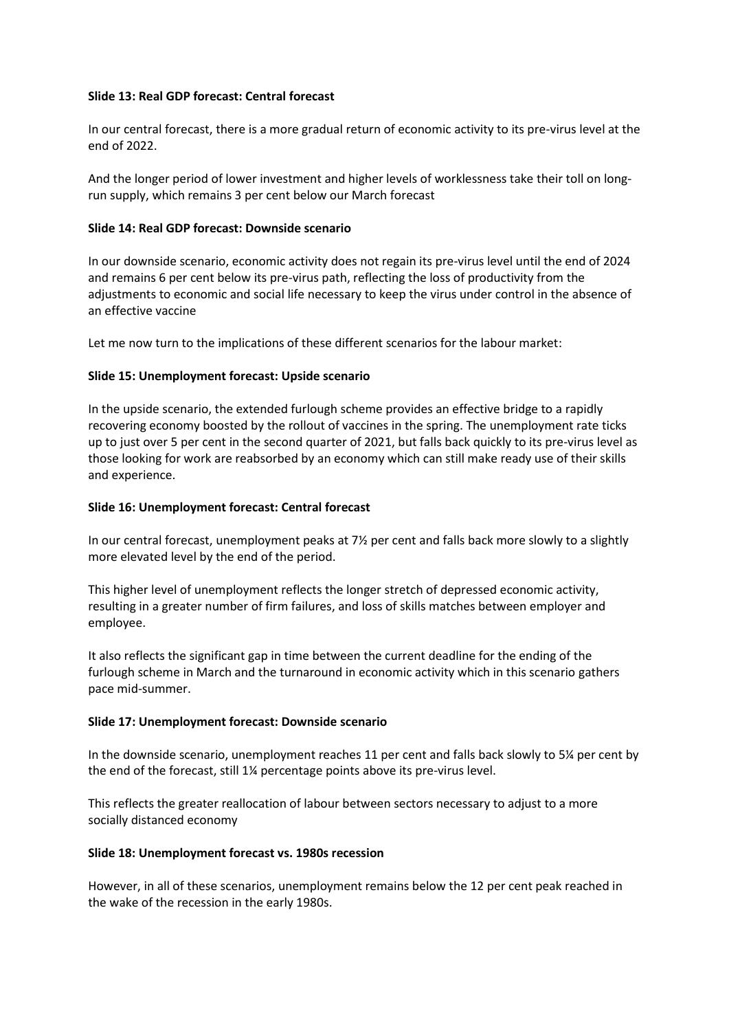### **Slide 13: Real GDP forecast: Central forecast**

In our central forecast, there is a more gradual return of economic activity to its pre-virus level at the end of 2022.

And the longer period of lower investment and higher levels of worklessness take their toll on longrun supply, which remains 3 per cent below our March forecast

# **Slide 14: Real GDP forecast: Downside scenario**

In our downside scenario, economic activity does not regain its pre-virus level until the end of 2024 and remains 6 per cent below its pre-virus path, reflecting the loss of productivity from the adjustments to economic and social life necessary to keep the virus under control in the absence of an effective vaccine

Let me now turn to the implications of these different scenarios for the labour market:

# **Slide 15: Unemployment forecast: Upside scenario**

 those looking for work are reabsorbed by an economy which can still make ready use of their skills In the upside scenario, the extended furlough scheme provides an effective bridge to a rapidly recovering economy boosted by the rollout of vaccines in the spring. The unemployment rate ticks up to just over 5 per cent in the second quarter of 2021, but falls back quickly to its pre-virus level as and experience.

# **Slide 16: Unemployment forecast: Central forecast**

In our central forecast, unemployment peaks at 7½ per cent and falls back more slowly to a slightly more elevated level by the end of the period.

This higher level of unemployment reflects the longer stretch of depressed economic activity, resulting in a greater number of firm failures, and loss of skills matches between employer and employee.

 furlough scheme in March and the turnaround in economic activity which in this scenario gathers It also reflects the significant gap in time between the current deadline for the ending of the pace mid-summer.

### **Slide 17: Unemployment forecast: Downside scenario**

 In the downside scenario, unemployment reaches 11 per cent and falls back slowly to 5¼ per cent by the end of the forecast, still 1¼ percentage points above its pre-virus level.

This reflects the greater reallocation of labour between sectors necessary to adjust to a more socially distanced economy

### **Slide 18: Unemployment forecast vs. 1980s recession**

However, in all of these scenarios, unemployment remains below the 12 per cent peak reached in the wake of the recession in the early 1980s.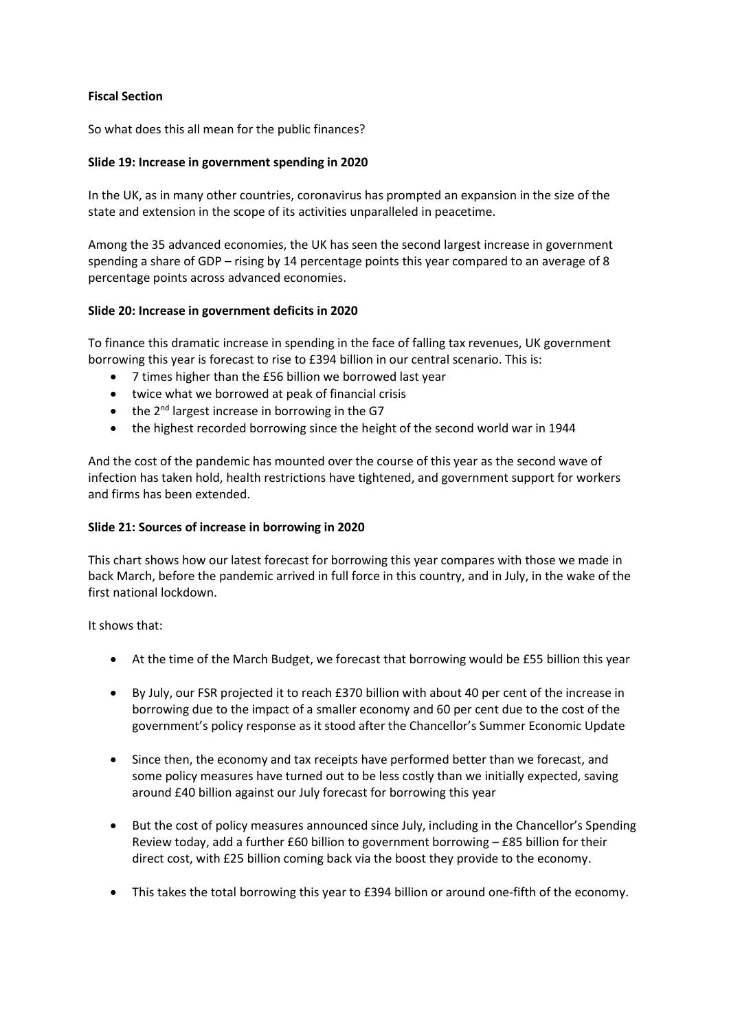# **Fiscal Section**

So what does this all mean for the public finances?

# **Slide 19: Increase in government spending in 2020**

 In the UK, as in many other countries, coronavirus has prompted an expansion in the size of the state and extension in the scope of its activities unparalleled in peacetime.

 Among the 35 advanced economies, the UK has seen the second largest increase in government spending a share of GDP – rising by 14 percentage points this year compared to an average of 8 percentage points across advanced economies.

# **Slide 20: Increase in government deficits in 2020**

To finance this dramatic increase in spending in the face of falling tax revenues, UK government borrowing this year is forecast to rise to £394 billion in our central scenario. This is:

- 7 times higher than the £56 billion we borrowed last year
- twice what we borrowed at peak of financial crisis
- $\bullet$  the 2<sup>nd</sup> largest increase in borrowing in the G7
- the highest recorded borrowing since the height of the second world war in 1944

And the cost of the pandemic has mounted over the course of this year as the second wave of infection has taken hold, health restrictions have tightened, and government support for workers and firms has been extended.

### **Slide 21: Sources of increase in borrowing in 2020**

This chart shows how our latest forecast for borrowing this year compares with those we made in back March, before the pandemic arrived in full force in this country, and in July, in the wake of the first national lockdown.

It shows that:

- At the time of the March Budget, we forecast that borrowing would be £55 billion this year
- By July, our FSR projected it to reach £370 billion with about 40 per cent of the increase in borrowing due to the impact of a smaller economy and 60 per cent due to the cost of the government's policy response as it stood after the Chancellor's Summer Economic Update
- Since then, the economy and tax receipts have performed better than we forecast, and some policy measures have turned out to be less costly than we initially expected, saving around £40 billion against our July forecast for borrowing this year
- But the cost of policy measures announced since July, including in the Chancellor's Spending Review today, add a further  $£60$  billion to government borrowing  $-£85$  billion for their direct cost, with £25 billion coming back via the boost they provide to the economy.
- This takes the total borrowing this year to £394 billion or around one-fifth of the economy.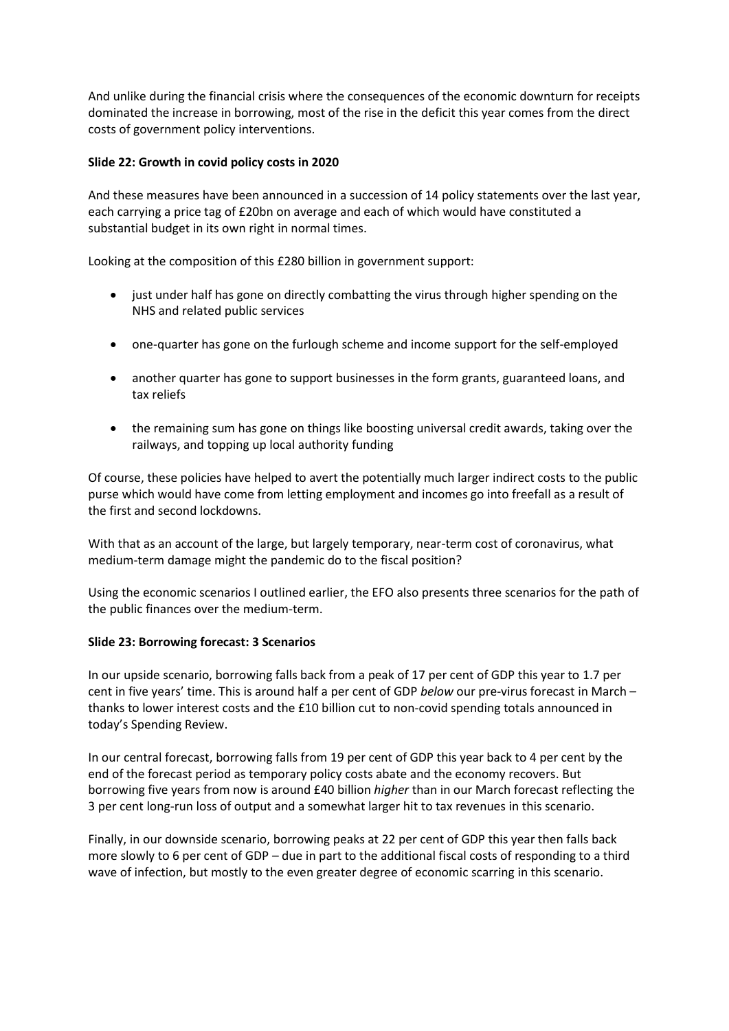And unlike during the financial crisis where the consequences of the economic downturn for receipts dominated the increase in borrowing, most of the rise in the deficit this year comes from the direct costs of government policy interventions.

# **Slide 22: Growth in covid policy costs in 2020**

And these measures have been announced in a succession of 14 policy statements over the last year, each carrying a price tag of £20bn on average and each of which would have constituted a substantial budget in its own right in normal times.

Looking at the composition of this £280 billion in government support:

- just under half has gone on directly combatting the virus through higher spending on the NHS and related public services
- one-quarter has gone on the furlough scheme and income support for the self-employed
- another quarter has gone to support businesses in the form grants, guaranteed loans, and tax reliefs
- the remaining sum has gone on things like boosting universal credit awards, taking over the railways, and topping up local authority funding

Of course, these policies have helped to avert the potentially much larger indirect costs to the public purse which would have come from letting employment and incomes go into freefall as a result of the first and second lockdowns.

With that as an account of the large, but largely temporary, near-term cost of coronavirus, what medium-term damage might the pandemic do to the fiscal position?

Using the economic scenarios I outlined earlier, the EFO also presents three scenarios for the path of the public finances over the medium-term.

### **Slide 23: Borrowing forecast: 3 Scenarios**

In our upside scenario, borrowing falls back from a peak of 17 per cent of GDP this year to 1.7 per cent in five years' time. This is around half a per cent of GDP *below* our pre-virus forecast in March – thanks to lower interest costs and the £10 billion cut to non-covid spending totals announced in today's Spending Review.

In our central forecast, borrowing falls from 19 per cent of GDP this year back to 4 per cent by the end of the forecast period as temporary policy costs abate and the economy recovers. But borrowing five years from now is around £40 billion *higher* than in our March forecast reflecting the 3 per cent long-run loss of output and a somewhat larger hit to tax revenues in this scenario.

Finally, in our downside scenario, borrowing peaks at 22 per cent of GDP this year then falls back more slowly to 6 per cent of GDP – due in part to the additional fiscal costs of responding to a third wave of infection, but mostly to the even greater degree of economic scarring in this scenario.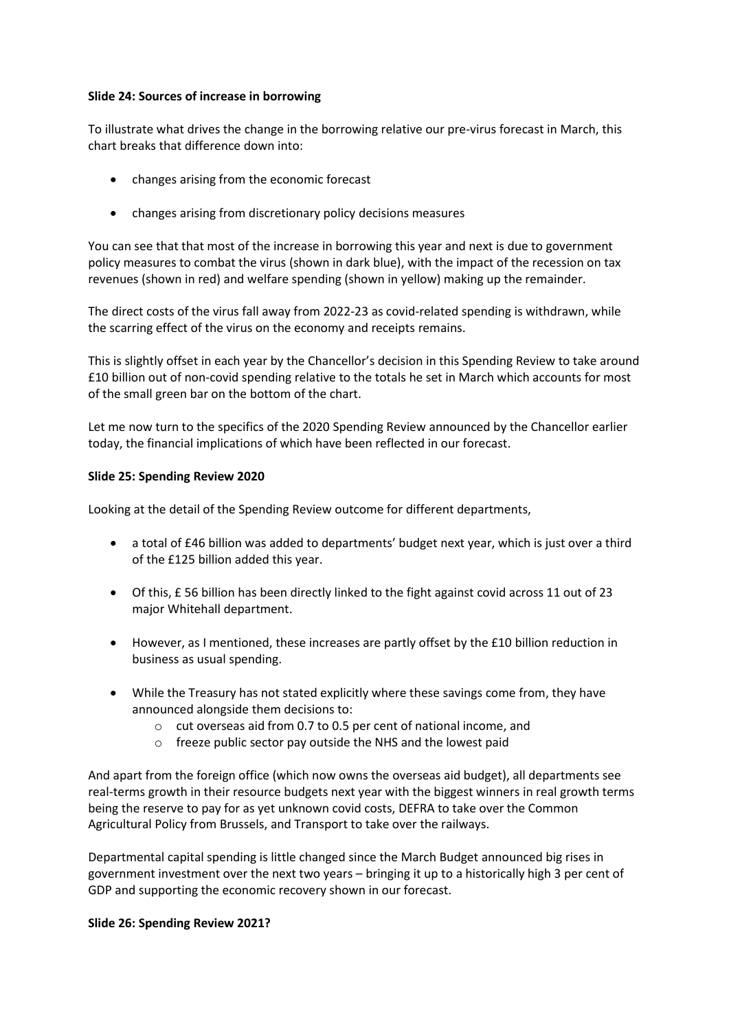### **Slide 24: Sources of increase in borrowing**

To illustrate what drives the change in the borrowing relative our pre-virus forecast in March, this chart breaks that difference down into:

- changes arising from the economic forecast
- changes arising from discretionary policy decisions measures

 policy measures to combat the virus (shown in dark blue), with the impact of the recession on tax You can see that that most of the increase in borrowing this year and next is due to government revenues (shown in red) and welfare spending (shown in yellow) making up the remainder.

The direct costs of the virus fall away from 2022-23 as covid-related spending is withdrawn, while the scarring effect of the virus on the economy and receipts remains.

This is slightly offset in each year by the Chancellor's decision in this Spending Review to take around £10 billion out of non-covid spending relative to the totals he set in March which accounts for most of the small green bar on the bottom of the chart.

Let me now turn to the specifics of the 2020 Spending Review announced by the Chancellor earlier today, the financial implications of which have been reflected in our forecast.

### **Slide 25: Spending Review 2020**

Looking at the detail of the Spending Review outcome for different departments,

- a total of £46 billion was added to departments' budget next year, which is just over a third of the £125 billion added this year.
- Of this, £ 56 billion has been directly linked to the fight against covid across 11 out of 23 major Whitehall department.
- • However, as I mentioned, these increases are partly offset by the £10 billion reduction in business as usual spending.
- While the Treasury has not stated explicitly where these savings come from, they have announced alongside them decisions to:
	- o cut overseas aid from 0.7 to 0.5 per cent of national income, and
	- o freeze public sector pay outside the NHS and the lowest paid

And apart from the foreign office (which now owns the overseas aid budget), all departments see real-terms growth in their resource budgets next year with the biggest winners in real growth terms being the reserve to pay for as yet unknown covid costs, DEFRA to take over the Common Agricultural Policy from Brussels, and Transport to take over the railways.

Departmental capital spending is little changed since the March Budget announced big rises in government investment over the next two years – bringing it up to a historically high 3 per cent of GDP and supporting the economic recovery shown in our forecast.

#### **Slide 26: Spending Review 2021?**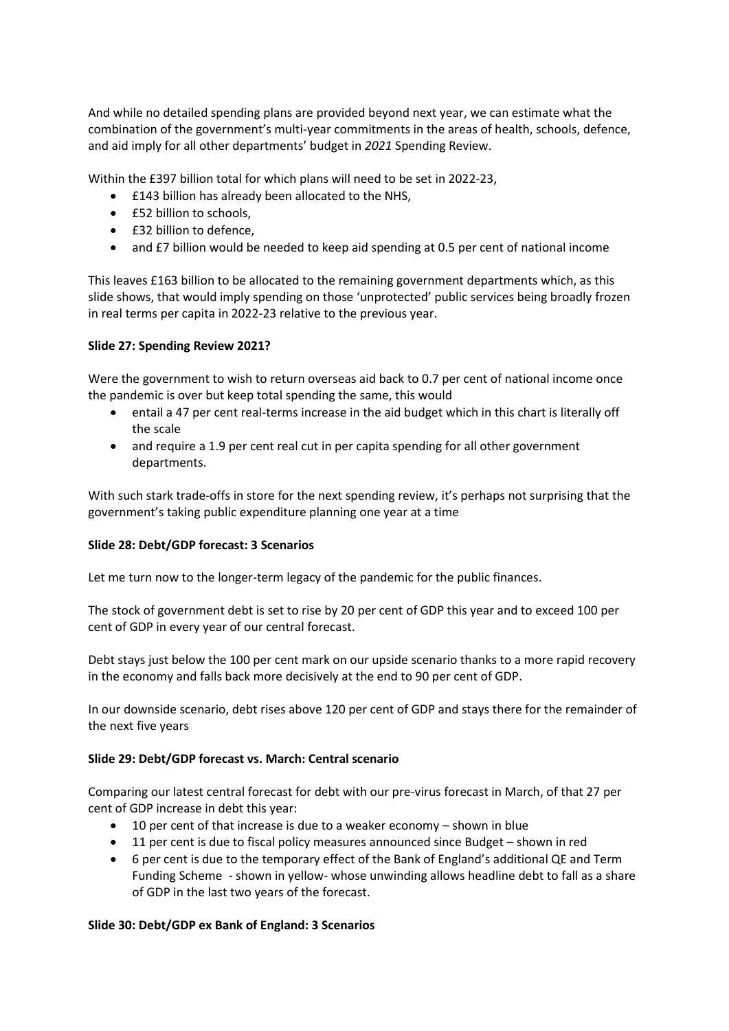And while no detailed spending plans are provided beyond next year, we can estimate what the combination of the government's multi-year commitments in the areas of health, schools, defence, and aid imply for all other departments' budget in *2021* Spending Review.

Within the £397 billion total for which plans will need to be set in 2022-23,

- £143 billion has already been allocated to the NHS,
- £52 billion to schools,
- £32 billion to defence,
- and £7 billion would be needed to keep aid spending at 0.5 per cent of national income

 This leaves £163 billion to be allocated to the remaining government departments which, as this slide shows, that would imply spending on those 'unprotected' public services being broadly frozen in real terms per capita in 2022-23 relative to the previous year.

# **Slide 27: Spending Review 2021?**

Were the government to wish to return overseas aid back to 0.7 per cent of national income once the pandemic is over but keep total spending the same, this would

- entail a 47 per cent real-terms increase in the aid budget which in this chart is literally off the scale
- and require a 1.9 per cent real cut in per capita spending for all other government departments.

With such stark trade-offs in store for the next spending review, it's perhaps not surprising that the government's taking public expenditure planning one year at a time

### **Slide 28: Debt/GDP forecast: 3 Scenarios**

Let me turn now to the longer-term legacy of the pandemic for the public finances.

 The stock of government debt is set to rise by 20 per cent of GDP this year and to exceed 100 per cent of GDP in every year of our central forecast.

Debt stays just below the 100 per cent mark on our upside scenario thanks to a more rapid recovery in the economy and falls back more decisively at the end to 90 per cent of GDP.

In our downside scenario, debt rises above 120 per cent of GDP and stays there for the remainder of the next five years

# **Slide 29: Debt/GDP forecast vs. March: Central scenario**

Comparing our latest central forecast for debt with our pre-virus forecast in March, of that 27 per cent of GDP increase in debt this year:

- 10 per cent of that increase is due to a weaker economy shown in blue
- 11 per cent is due to fiscal policy measures announced since Budget shown in red
- 6 per cent is due to the temporary effect of the Bank of England's additional QE and Term Funding Scheme - shown in yellow- whose unwinding allows headline debt to fall as a share of GDP in the last two years of the forecast.

### **Slide 30: Debt/GDP ex Bank of England: 3 Scenarios**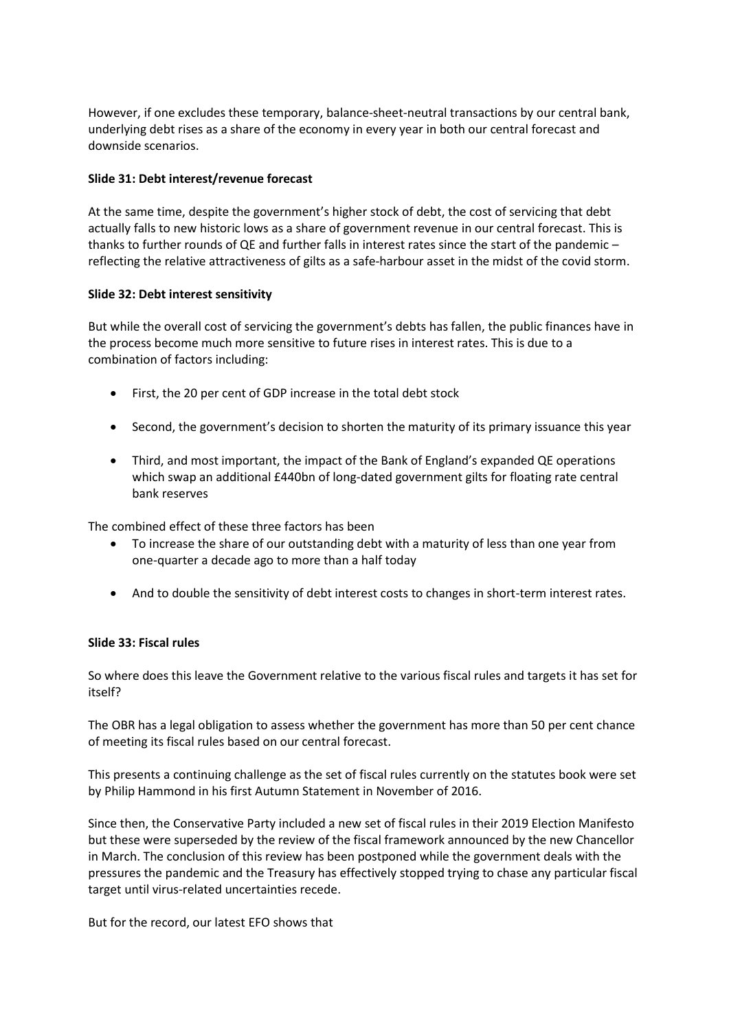However, if one excludes these temporary, balance-sheet-neutral transactions by our central bank, underlying debt rises as a share of the economy in every year in both our central forecast and downside scenarios.

### **Slide 31: Debt interest/revenue forecast**

At the same time, despite the government's higher stock of debt, the cost of servicing that debt actually falls to new historic lows as a share of government revenue in our central forecast. This is thanks to further rounds of QE and further falls in interest rates since the start of the pandemic – reflecting the relative attractiveness of gilts as a safe-harbour asset in the midst of the covid storm.

### **Slide 32: Debt interest sensitivity**

But while the overall cost of servicing the government's debts has fallen, the public finances have in the process become much more sensitive to future rises in interest rates. This is due to a combination of factors including:

- First, the 20 per cent of GDP increase in the total debt stock
- Second, the government's decision to shorten the maturity of its primary issuance this year
- Third, and most important, the impact of the Bank of England's expanded QE operations which swap an additional £440bn of long-dated government gilts for floating rate central bank reserves

The combined effect of these three factors has been

- • To increase the share of our outstanding debt with a maturity of less than one year from one-quarter a decade ago to more than a half today
- And to double the sensitivity of debt interest costs to changes in short-term interest rates.

# **Slide 33: Fiscal rules**

So where does this leave the Government relative to the various fiscal rules and targets it has set for itself?

The OBR has a legal obligation to assess whether the government has more than 50 per cent chance of meeting its fiscal rules based on our central forecast.

This presents a continuing challenge as the set of fiscal rules currently on the statutes book were set by Philip Hammond in his first Autumn Statement in November of 2016.

 Since then, the Conservative Party included a new set of fiscal rules in their 2019 Election Manifesto but these were superseded by the review of the fiscal framework announced by the new Chancellor in March. The conclusion of this review has been postponed while the government deals with the pressures the pandemic and the Treasury has effectively stopped trying to chase any particular fiscal target until virus-related uncertainties recede.

But for the record, our latest EFO shows that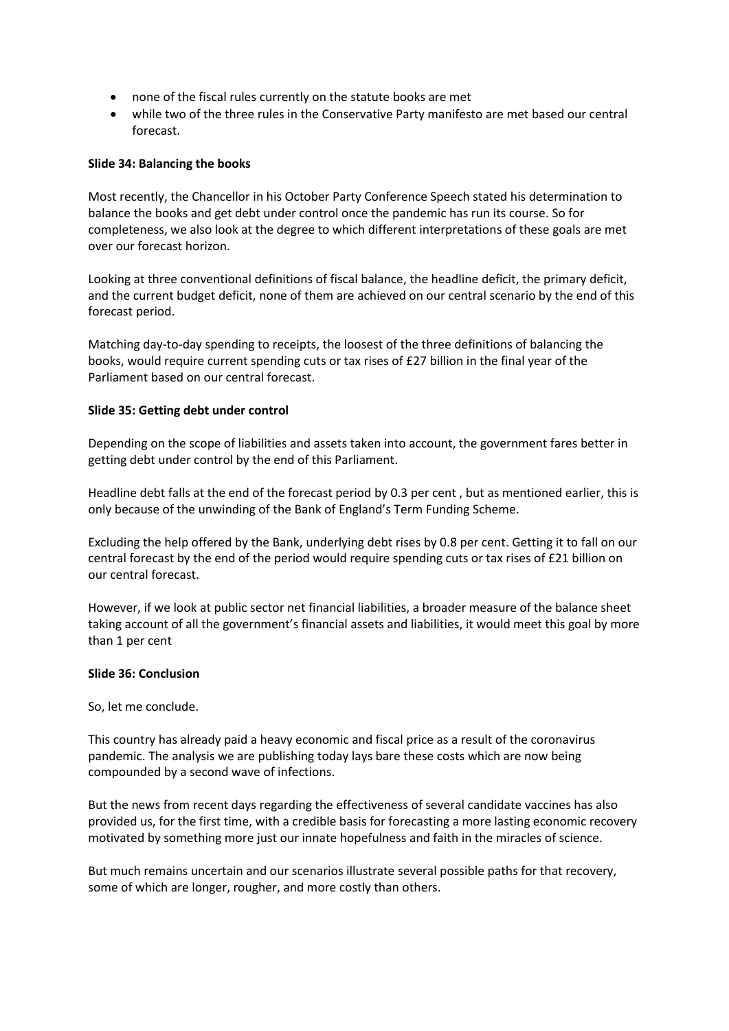- none of the fiscal rules currently on the statute books are met
- • while two of the three rules in the Conservative Party manifesto are met based our central forecast.

#### **Slide 34: Balancing the books**

Most recently, the Chancellor in his October Party Conference Speech stated his determination to balance the books and get debt under control once the pandemic has run its course. So for completeness, we also look at the degree to which different interpretations of these goals are met over our forecast horizon.

Looking at three conventional definitions of fiscal balance, the headline deficit, the primary deficit, and the current budget deficit, none of them are achieved on our central scenario by the end of this forecast period.

Matching day-to-day spending to receipts, the loosest of the three definitions of balancing the books, would require current spending cuts or tax rises of £27 billion in the final year of the Parliament based on our central forecast.

#### **Slide 35: Getting debt under control**

Depending on the scope of liabilities and assets taken into account, the government fares better in getting debt under control by the end of this Parliament.

Headline debt falls at the end of the forecast period by 0.3 per cent , but as mentioned earlier, this is only because of the unwinding of the Bank of England's Term Funding Scheme.

Excluding the help offered by the Bank, underlying debt rises by 0.8 per cent. Getting it to fall on our central forecast by the end of the period would require spending cuts or tax rises of £21 billion on our central forecast.

However, if we look at public sector net financial liabilities, a broader measure of the balance sheet taking account of all the government's financial assets and liabilities, it would meet this goal by more than 1 per cent

#### **Slide 36: Conclusion**

So, let me conclude.

This country has already paid a heavy economic and fiscal price as a result of the coronavirus pandemic. The analysis we are publishing today lays bare these costs which are now being compounded by a second wave of infections.

But the news from recent days regarding the effectiveness of several candidate vaccines has also provided us, for the first time, with a credible basis for forecasting a more lasting economic recovery motivated by something more just our innate hopefulness and faith in the miracles of science.

But much remains uncertain and our scenarios illustrate several possible paths for that recovery, some of which are longer, rougher, and more costly than others.